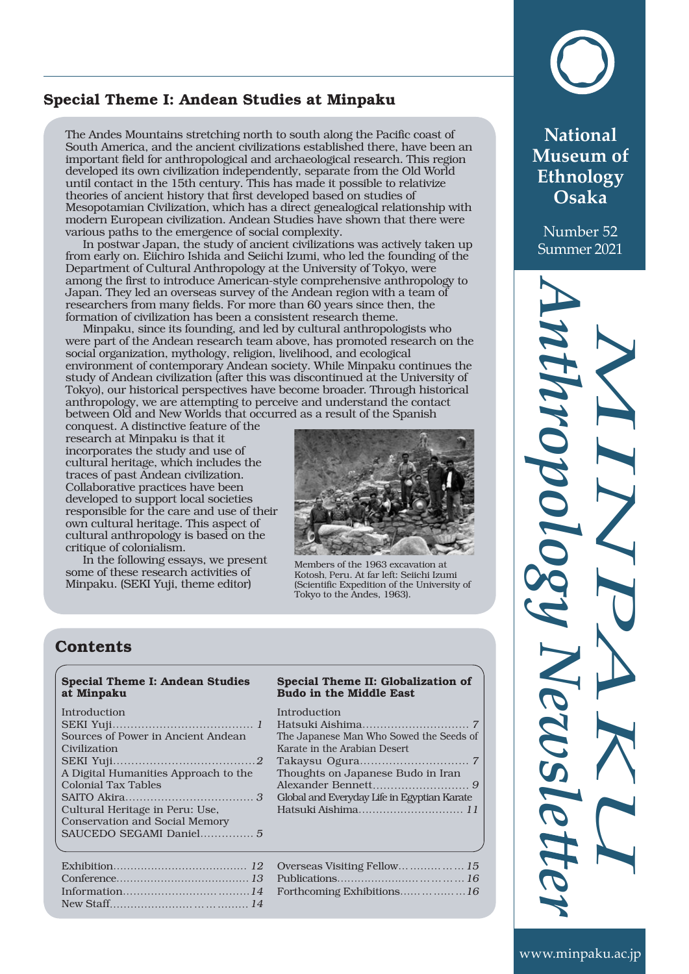# Special Theme I: Andean Studies at Minpaku

The Andes Mountains stretching north to south along the Pacific coast of South America, and the ancient civilizations established there, have been an important field for anthropological and archaeological research. This region developed its own civilization independently, separate from the Old World until contact in the 15th century. This has made it possible to relativize theories of ancient history that first developed based on studies of Mesopotamian Civilization, which has a direct genealogical relationship with modern European civilization. Andean Studies have shown that there were various paths to the emergence of social complexity.

In postwar Japan, the study of ancient civilizations was actively taken up from early on. Eiichiro Ishida and Seiichi Izumi, who led the founding of the Department of Cultural Anthropology at the University of Tokyo, were among the first to introduce American-style comprehensive anthropology to Japan. They led an overseas survey of the Andean region with a team of researchers from many fields. For more than 60 years since then, the formation of civilization has been a consistent research theme.

Minpaku, since its founding, and led by cultural anthropologists who were part of the Andean research team above, has promoted research on the social organization, mythology, religion, livelihood, and ecological environment of contemporary Andean society. While Minpaku continues the study of Andean civilization (after this was discontinued at the University of Tokyo), our historical perspectives have become broader. Through historical anthropology, we are attempting to perceive and understand the contact between Old and New Worlds that occurred as a result of the Spanish

conquest. A distinctive feature of the research at Minpaku is that it incorporates the study and use of cultural heritage, which includes the traces of past Andean civilization. Collaborative practices have been developed to support local societies responsible for the care and use of their own cultural heritage. This aspect of cultural anthropology is based on the critique of colonialism.

In the following essays, we present some of these research activities of Minpaku. (SEKI Yuji, theme editor)



Members of the 1963 excavation at Kotosh, Peru. At far left: Seiichi Izumi (Scientific Expedition of the University of Tokyo to the Andes, 1963).

# **Contents**

### Special Theme I: Andean Studies at Minpaku

### Introduction

| Sources of Power in Ancient Andean    |
|---------------------------------------|
| Civilization                          |
|                                       |
| A Digital Humanities Approach to the  |
| <b>Colonial Tax Tables</b>            |
|                                       |
| Cultural Heritage in Peru: Use,       |
| <b>Conservation and Social Memory</b> |
| SAUCEDO SEGAMI Daniel 5               |
|                                       |

#### Special Theme II: Globalization of Budo in the Middle East

Introduction

| The Japanese Man Who Sowed the Seeds of     |
|---------------------------------------------|
| Karate in the Arabian Desert                |
|                                             |
| Thoughts on Japanese Budo in Iran           |
|                                             |
| Global and Everyday Life in Egyptian Karate |
|                                             |
|                                             |

| Overseas Visiting Fellow 15 |  |
|-----------------------------|--|
|                             |  |
| Forthcoming Exhibitions16   |  |



**National Museum of Ethnology Osaka**

Number 52 Summer 2021

# *M I N PA K U A n th r o p o l og*  $\mathcal{L}$ *Ne w* **s** *l*  $\sigma$  $\boldsymbol{\beta}$ *r*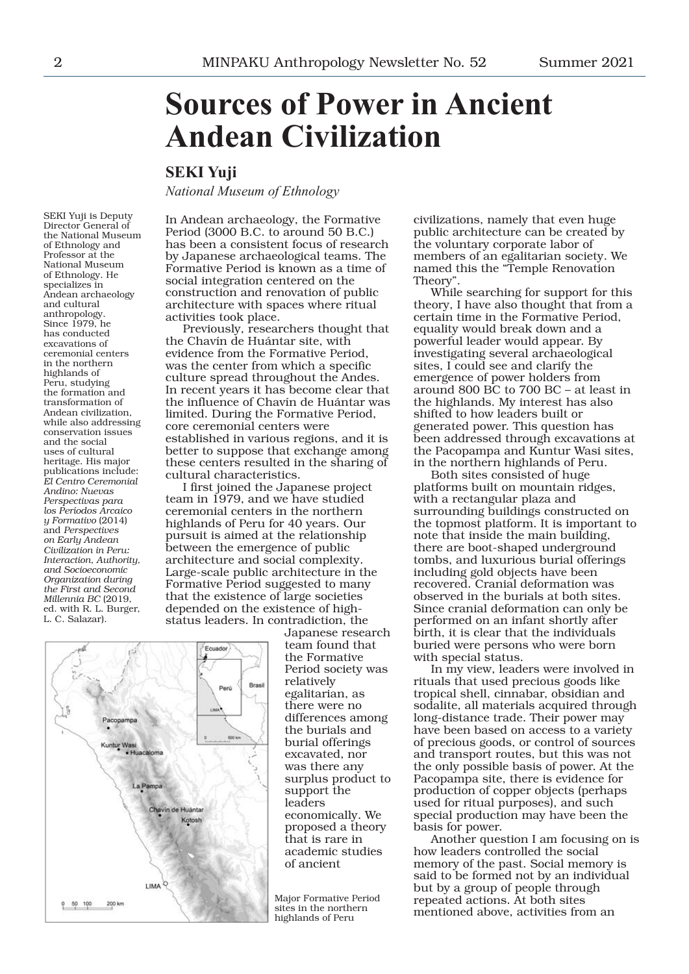# **Sources of Power in Ancient Andean Civilization**

# **SEKI Yuji**

*National Museum of Ethnology*

SEKI Yuji is Deputy Director General of the National Museum of Ethnology and Professor at the National Museum of Ethnology. He specializes in Andean archaeology and cultural anthropology. Since 1979, he has conducted excavations of ceremonial centers in the northern highlands of Peru, studying the formation and transformation of Andean civilization, while also addressing conservation issues and the social uses of cultural heritage. His major publications include: *El Centro Ceremonial Andino: Nuevas Perspectivas para los Períodos Arcaico y Formativo* (2014) and *Perspectives on Early Andean Civilization in Peru: Interaction, Authority, and Socioeconomic Organization during the First and Second Millennia BC* (2019, ed. with R. L. Burger, L. C. Salazar).

In Andean archaeology, the Formative Period (3000 B.C. to around 50 B.C.) has been a consistent focus of research by Japanese archaeological teams. The Formative Period is known as a time of social integration centered on the construction and renovation of public architecture with spaces where ritual activities took place.

Previously, researchers thought that the Chavín de Huántar site, with evidence from the Formative Period, was the center from which a specific culture spread throughout the Andes. In recent years it has become clear that the influence of Chavín de Huántar was limited. During the Formative Period, core ceremonial centers were established in various regions, and it is better to suppose that exchange among these centers resulted in the sharing of cultural characteristics.

I first joined the Japanese project team in 1979, and we have studied ceremonial centers in the northern highlands of Peru for 40 years. Our pursuit is aimed at the relationship between the emergence of public architecture and social complexity. Large-scale public architecture in the Formative Period suggested to many that the existence of large societies depended on the existence of highstatus leaders. In contradiction, the



Japanese research team found that the Formative Period society was relatively egalitarian, as there were no differences among the burials and burial offerings excavated, nor was there any surplus product to support the leaders economically. We proposed a theory that is rare in academic studies of ancient

Major Formative Period sites in the northern highlands of Peru

civilizations, namely that even huge public architecture can be created by the voluntary corporate labor of members of an egalitarian society. We named this the "Temple Renovation Theory".

While searching for support for this theory, I have also thought that from a certain time in the Formative Period, equality would break down and a powerful leader would appear. By investigating several archaeological sites, I could see and clarify the emergence of power holders from around 800 BC to 700 BC – at least in the highlands. My interest has also shifted to how leaders built or generated power. This question has been addressed through excavations at the Pacopampa and Kuntur Wasi sites, in the northern highlands of Peru.

Both sites consisted of huge platforms built on mountain ridges, with a rectangular plaza and surrounding buildings constructed on the topmost platform. It is important to note that inside the main building, there are boot-shaped underground tombs, and luxurious burial offerings including gold objects have been recovered. Cranial deformation was observed in the burials at both sites. Since cranial deformation can only be performed on an infant shortly after birth, it is clear that the individuals buried were persons who were born with special status.

In my view, leaders were involved in rituals that used precious goods like tropical shell, cinnabar, obsidian and sodalite, all materials acquired through long-distance trade. Their power may have been based on access to a variety of precious goods, or control of sources and transport routes, but this was not the only possible basis of power. At the Pacopampa site, there is evidence for production of copper objects (perhaps used for ritual purposes), and such special production may have been the basis for power.

Another question I am focusing on is how leaders controlled the social memory of the past. Social memory is said to be formed not by an individual but by a group of people through repeated actions. At both sites mentioned above, activities from an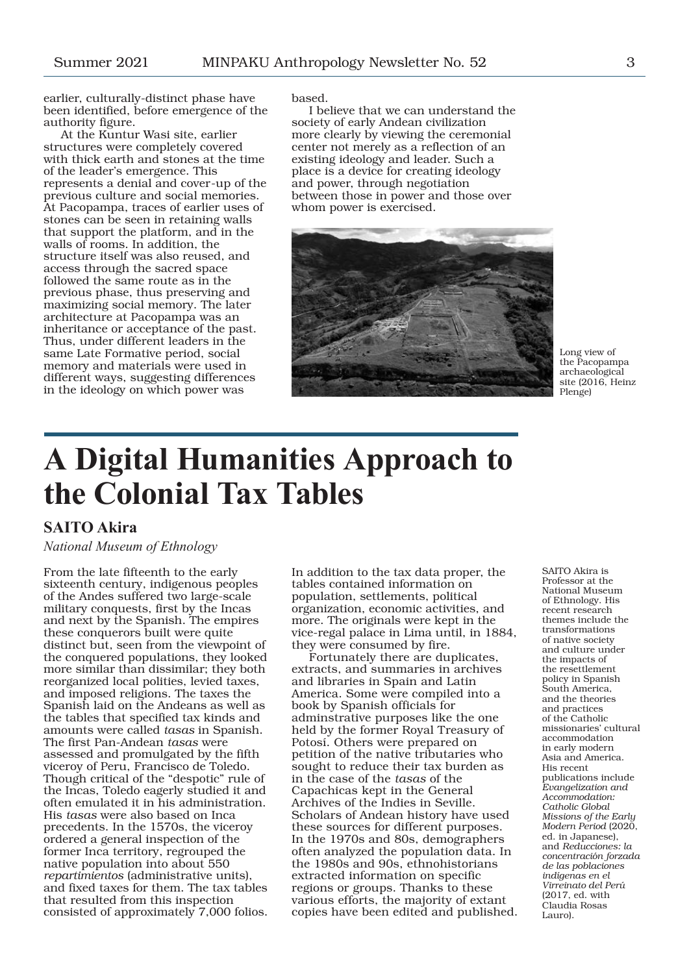earlier, culturally-distinct phase have been identified, before emergence of the authority figure.

At the Kuntur Wasi site, earlier structures were completely covered with thick earth and stones at the time of the leader's emergence. This represents a denial and cover-up of the previous culture and social memories. At Pacopampa, traces of earlier uses of stones can be seen in retaining walls that support the platform, and in the walls of rooms. In addition, the structure itself was also reused, and access through the sacred space followed the same route as in the previous phase, thus preserving and maximizing social memory. The later architecture at Pacopampa was an inheritance or acceptance of the past. Thus, under different leaders in the same Late Formative period, social memory and materials were used in different ways, suggesting differences in the ideology on which power was

based.

I believe that we can understand the society of early Andean civilization more clearly by viewing the ceremonial center not merely as a reflection of an existing ideology and leader. Such a place is a device for creating ideology and power, through negotiation between those in power and those over whom power is exercised.



Long view of the Pacopampa archaeological site (2016, Heinz Plenge)

# **A Digital Humanities Approach to the Colonial Tax Tables**

# **SAITO Akira**

### *National Museum of Ethnology*

From the late fifteenth to the early sixteenth century, indigenous peoples of the Andes suffered two large-scale military conquests, first by the Incas and next by the Spanish. The empires these conquerors built were quite distinct but, seen from the viewpoint of the conquered populations, they looked more similar than dissimilar; they both reorganized local polities, levied taxes, and imposed religions. The taxes the Spanish laid on the Andeans as well as the tables that specified tax kinds and amounts were called *tasas* in Spanish. The first Pan-Andean *tasas* were assessed and promulgated by the fifth viceroy of Peru, Francisco de Toledo. Though critical of the "despotic" rule of the Incas, Toledo eagerly studied it and often emulated it in his administration. His *tasas* were also based on Inca precedents. In the 1570s, the viceroy ordered a general inspection of the former Inca territory, regrouped the native population into about 550 *repartimientos* (administrative units), and fixed taxes for them. The tax tables that resulted from this inspection consisted of approximately 7,000 folios.

In addition to the tax data proper, the tables contained information on population, settlements, political organization, economic activities, and more. The originals were kept in the vice-regal palace in Lima until, in 1884, they were consumed by fire.

Fortunately there are duplicates, extracts, and summaries in archives and libraries in Spain and Latin America. Some were compiled into a book by Spanish officials for adminstrative purposes like the one held by the former Royal Treasury of Potosí. Others were prepared on petition of the native tributaries who sought to reduce their tax burden as in the case of the *tasas* of the Capachicas kept in the General Archives of the Indies in Seville. Scholars of Andean history have used these sources for different purposes. In the 1970s and 80s, demographers often analyzed the population data. In the 1980s and 90s, ethnohistorians extracted information on specific regions or groups. Thanks to these various efforts, the majority of extant copies have been edited and published.

SAITO Akira is Professor at the National Museum of Ethnology. His recent research themes include the transformations of native society and culture under the impacts of the resettlement policy in Spanish South America, and the theories and practices of the Catholic missionaries' cultural accommodation in early modern Asia and America. His recent publications include *Evangelization and Accommodation: Catholic Global Missions of the Early Modern Period* (2020, ed. in Japanese), and *Reducciones: la concentración forzada de las poblaciones indígenas en el Virreinato del Perú* (2017, ed. with Claudia Rosas Lauro).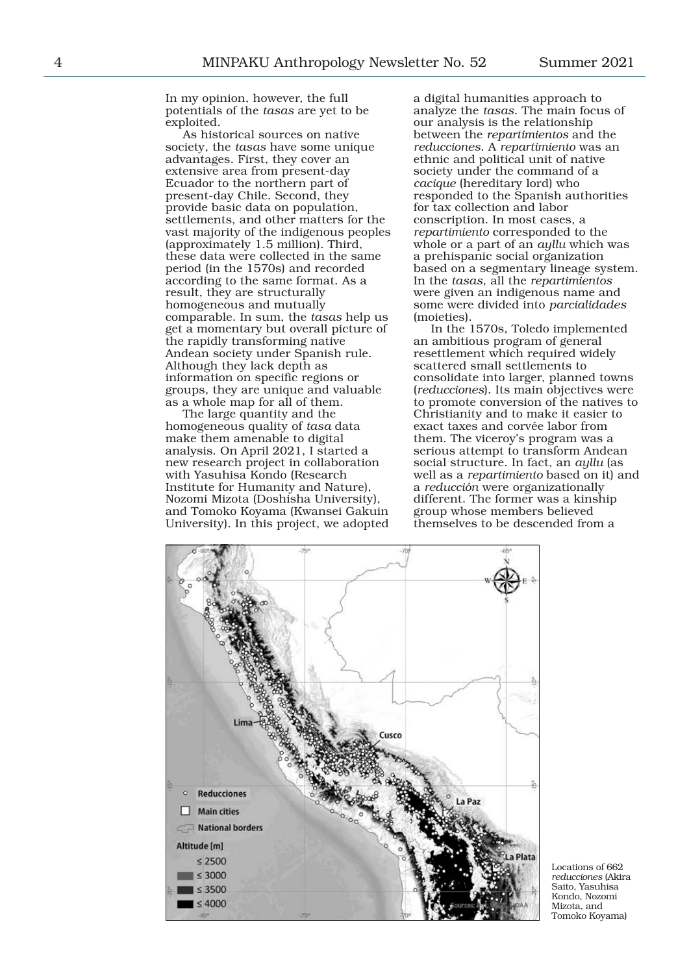In my opinion, however, the full potentials of the *tasas* are yet to be exploited.

As historical sources on native society, the *tasas* have some unique advantages. First, they cover an extensive area from present-day Ecuador to the northern part of present-day Chile. Second, they provide basic data on population, settlements, and other matters for the vast majority of the indigenous peoples (approximately 1.5 million). Third, these data were collected in the same period (in the 1570s) and recorded according to the same format. As a result, they are structurally homogeneous and mutually comparable. In sum, the *tasas* help us get a momentary but overall picture of the rapidly transforming native Andean society under Spanish rule. Although they lack depth as information on specific regions or groups, they are unique and valuable as a whole map for all of them.

The large quantity and the homogeneous quality of *tasa* data make them amenable to digital analysis. On April 2021, I started a new research project in collaboration with Yasuhisa Kondo (Research Institute for Humanity and Nature), Nozomi Mizota (Doshisha University), and Tomoko Koyama (Kwansei Gakuin University). In this project, we adopted a digital humanities approach to analyze the *tasas*. The main focus of our analysis is the relationship between the *repartimientos* and the *reducciones*. A *repartimiento* was an ethnic and political unit of native society under the command of a *cacique* (hereditary lord) who responded to the Spanish authorities for tax collection and labor conscription. In most cases, a *repartimiento* corresponded to the whole or a part of an *ayllu* which was a prehispanic social organization based on a segmentary lineage system. In the *tasas*, all the *repartimientos* were given an indigenous name and some were divided into *parcialidades* (moieties).

In the 1570s, Toledo implemented an ambitious program of general resettlement which required widely scattered small settlements to consolidate into larger, planned towns (*reducciones*). Its main objectives were to promote conversion of the natives to Christianity and to make it easier to exact taxes and corvée labor from them. The viceroy's program was a serious attempt to transform Andean social structure. In fact, an *ayllu* (as well as a *repartimiento* based on it) and a *reducción* were organizationally different. The former was a kinship group whose members believed themselves to be descended from a



Locations of 662 *reducciones* (Akira Saito, Yasuhisa Kondo, Nozomi Mizota, and Tomoko Koyama)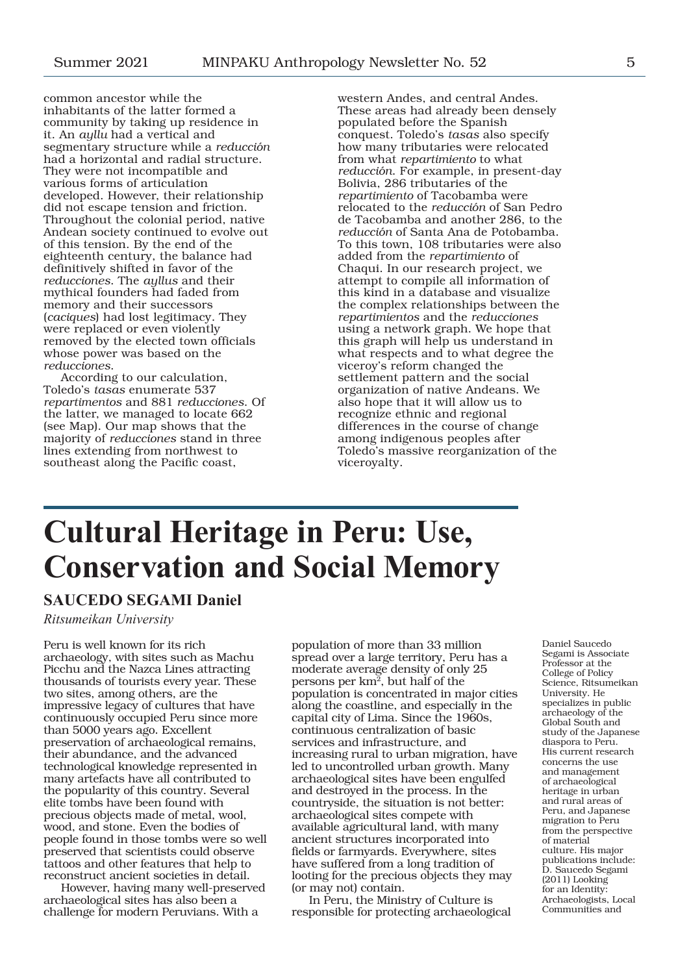common ancestor while the inhabitants of the latter formed a community by taking up residence in it. An *ayllu* had a vertical and segmentary structure while a *reducción* had a horizontal and radial structure. They were not incompatible and various forms of articulation developed. However, their relationship did not escape tension and friction. Throughout the colonial period, native Andean society continued to evolve out of this tension. By the end of the eighteenth century, the balance had definitively shifted in favor of the *reducciones*. The *ayllus* and their mythical founders had faded from memory and their successors (*caciques*) had lost legitimacy. They were replaced or even violently removed by the elected town officials whose power was based on the *reducciones*.

According to our calculation, Toledo's *tasas* enumerate 537 *repartimentos* and 881 *reducciones*. Of the latter, we managed to locate 662 (see Map). Our map shows that the majority of *reducciones* stand in three lines extending from northwest to southeast along the Pacific coast,

western Andes, and central Andes. These areas had already been densely populated before the Spanish conquest. Toledo's *tasas* also specify how many tributaries were relocated from what *repartimiento* to what *reducción*. For example, in present-day Bolivia, 286 tributaries of the *repartimiento* of Tacobamba were relocated to the *reducción* of San Pedro de Tacobamba and another 286, to the *reducción* of Santa Ana de Potobamba. To this town, 108 tributaries were also added from the *repartimiento* of Chaqui. In our research project, we attempt to compile all information of this kind in a database and visualize the complex relationships between the *repartimientos* and the *reducciones* using a network graph. We hope that this graph will help us understand in what respects and to what degree the viceroy's reform changed the settlement pattern and the social organization of native Andeans. We also hope that it will allow us to recognize ethnic and regional differences in the course of change among indigenous peoples after Toledo's massive reorganization of the viceroyalty.

# **Cultural Heritage in Peru: Use, Conservation and Social Memory**

# **SAUCEDO SEGAMI Daniel**

*Ritsumeikan University*

Peru is well known for its rich archaeology, with sites such as Machu Picchu and the Nazca Lines attracting thousands of tourists every year. These two sites, among others, are the impressive legacy of cultures that have continuously occupied Peru since more than 5000 years ago. Excellent preservation of archaeological remains, their abundance, and the advanced technological knowledge represented in many artefacts have all contributed to the popularity of this country. Several elite tombs have been found with precious objects made of metal, wool, wood, and stone. Even the bodies of people found in those tombs were so well preserved that scientists could observe tattoos and other features that help to reconstruct ancient societies in detail.

However, having many well-preserved archaeological sites has also been a challenge for modern Peruvians. With a

population of more than 33 million spread over a large territory, Peru has a moderate average density of only 25 persons per km2, but half of the population is concentrated in major cities along the coastline, and especially in the capital city of Lima. Since the 1960s, continuous centralization of basic services and infrastructure, and increasing rural to urban migration, have led to uncontrolled urban growth. Many archaeological sites have been engulfed and destroyed in the process. In the countryside, the situation is not better: archaeological sites compete with available agricultural land, with many ancient structures incorporated into fields or farmyards. Everywhere, sites have suffered from a long tradition of looting for the precious objects they may (or may not) contain.

In Peru, the Ministry of Culture is responsible for protecting archaeological Daniel Saucedo Segami is Associate Professor at the College of Policy Science, Ritsumeikan University. He specializes in public archaeology of the Global South and study of the Japanese diaspora to Peru. His current research concerns the use and management of archaeological heritage in urban and rural areas of Peru, and Japanese migration to Peru from the perspective of material culture. His major publications include: D. Saucedo Segami (2011) Looking for an Identity: Archaeologists, Local Communities and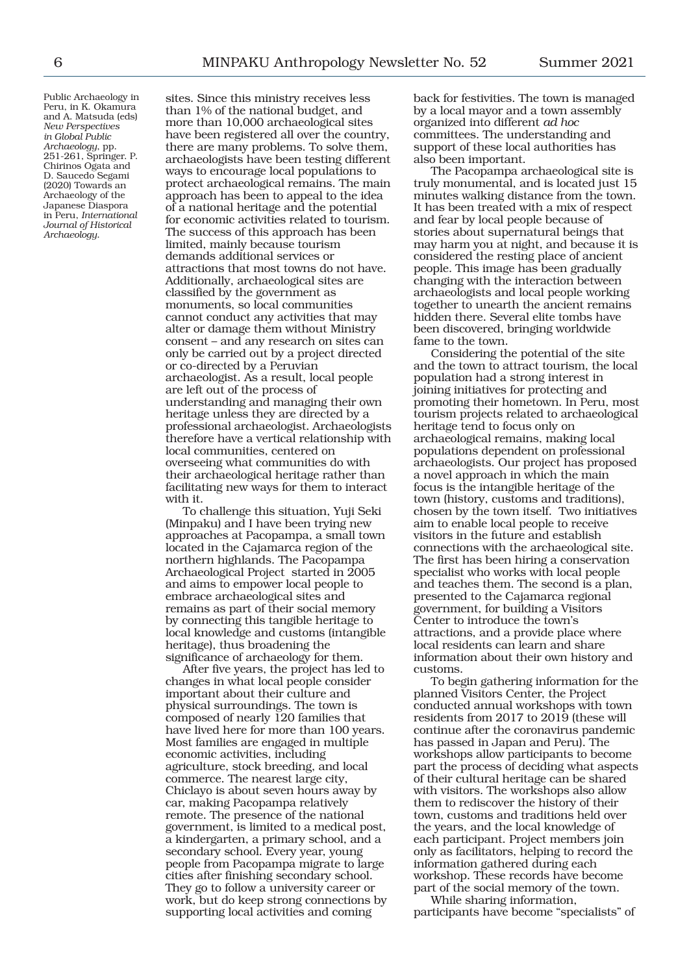Public Archaeology in Peru, in K. Okamura and A. Matsuda (eds) *New Perspectives in Global Public Archaeology*, pp. 251-261, Springer. P. Chirinos Ogata and D. Saucedo Segami (2020) Towards an Archaeology of the Japanese Diaspora in Peru, *International Journal of Historical Archaeology*.

sites. Since this ministry receives less than 1% of the national budget, and more than 10,000 archaeological sites have been registered all over the country, there are many problems. To solve them, archaeologists have been testing different ways to encourage local populations to protect archaeological remains. The main approach has been to appeal to the idea of a national heritage and the potential for economic activities related to tourism. The success of this approach has been limited, mainly because tourism demands additional services or attractions that most towns do not have. Additionally, archaeological sites are classified by the government as monuments, so local communities cannot conduct any activities that may alter or damage them without Ministry consent – and any research on sites can only be carried out by a project directed or co-directed by a Peruvian archaeologist. As a result, local people are left out of the process of understanding and managing their own heritage unless they are directed by a professional archaeologist. Archaeologists therefore have a vertical relationship with local communities, centered on overseeing what communities do with their archaeological heritage rather than facilitating new ways for them to interact with it.

To challenge this situation, Yuji Seki (Minpaku) and I have been trying new approaches at Pacopampa, a small town located in the Cajamarca region of the northern highlands. The Pacopampa Archaeological Project started in 2005 and aims to empower local people to embrace archaeological sites and remains as part of their social memory by connecting this tangible heritage to local knowledge and customs (intangible heritage), thus broadening the significance of archaeology for them.

After five years, the project has led to changes in what local people consider important about their culture and physical surroundings. The town is composed of nearly 120 families that have lived here for more than 100 years. Most families are engaged in multiple economic activities, including agriculture, stock breeding, and local commerce. The nearest large city, Chiclayo is about seven hours away by car, making Pacopampa relatively remote. The presence of the national government, is limited to a medical post, a kindergarten, a primary school, and a secondary school. Every year, young people from Pacopampa migrate to large cities after finishing secondary school. They go to follow a university career or work, but do keep strong connections by supporting local activities and coming

back for festivities. The town is managed by a local mayor and a town assembly organized into different *ad hoc* committees. The understanding and support of these local authorities has also been important.

The Pacopampa archaeological site is truly monumental, and is located just 15 minutes walking distance from the town. It has been treated with a mix of respect and fear by local people because of stories about supernatural beings that may harm you at night, and because it is considered the resting place of ancient people. This image has been gradually changing with the interaction between archaeologists and local people working together to unearth the ancient remains hidden there. Several elite tombs have been discovered, bringing worldwide fame to the town.

Considering the potential of the site and the town to attract tourism, the local population had a strong interest in joining initiatives for protecting and promoting their hometown. In Peru, most tourism projects related to archaeological heritage tend to focus only on archaeological remains, making local populations dependent on professional archaeologists. Our project has proposed a novel approach in which the main focus is the intangible heritage of the town (history, customs and traditions), chosen by the town itself. Two initiatives aim to enable local people to receive visitors in the future and establish connections with the archaeological site. The first has been hiring a conservation specialist who works with local people and teaches them. The second is a plan, presented to the Cajamarca regional government, for building a Visitors Center to introduce the town's attractions, and a provide place where local residents can learn and share information about their own history and customs.

To begin gathering information for the planned Visitors Center, the Project conducted annual workshops with town residents from 2017 to 2019 (these will continue after the coronavirus pandemic has passed in Japan and Peru). The workshops allow participants to become part the process of deciding what aspects of their cultural heritage can be shared with visitors. The workshops also allow them to rediscover the history of their town, customs and traditions held over the years, and the local knowledge of each participant. Project members join only as facilitators, helping to record the information gathered during each workshop. These records have become part of the social memory of the town.

While sharing information, participants have become "specialists" of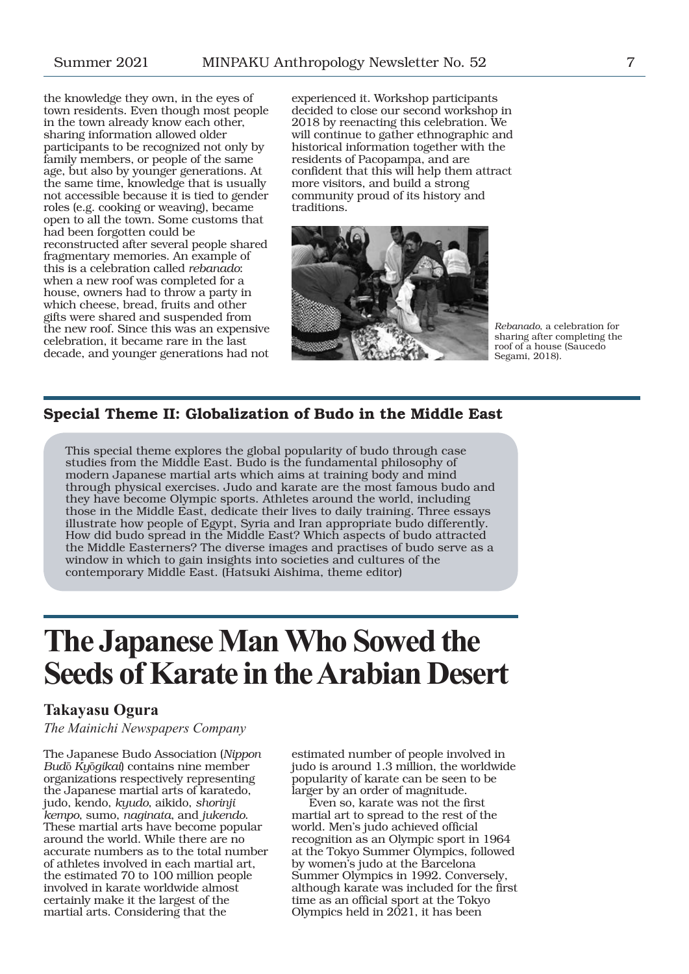the knowledge they own, in the eyes of town residents. Even though most people in the town already know each other, sharing information allowed older participants to be recognized not only by family members, or people of the same age, but also by younger generations. At the same time, knowledge that is usually not accessible because it is tied to gender roles (e.g. cooking or weaving), became open to all the town. Some customs that had been forgotten could be reconstructed after several people shared fragmentary memories. An example of this is a celebration called *rebanado*: when a new roof was completed for a house, owners had to throw a party in which cheese, bread, fruits and other gifts were shared and suspended from the new roof. Since this was an expensive celebration, it became rare in the last decade, and younger generations had not experienced it. Workshop participants decided to close our second workshop in 2018 by reenacting this celebration. We will continue to gather ethnographic and historical information together with the residents of Pacopampa, and are confident that this will help them attract more visitors, and build a strong community proud of its history and traditions.



*Rebanado*, a celebration for sharing after completing the roof of a house (Saucedo Segami, 2018).

# Special Theme II: Globalization of Budo in the Middle East

This special theme explores the global popularity of budo through case studies from the Middle East. Budo is the fundamental philosophy of modern Japanese martial arts which aims at training body and mind through physical exercises. Judo and karate are the most famous budo and they have become Olympic sports. Athletes around the world, including those in the Middle East, dedicate their lives to daily training. Three essays illustrate how people of Egypt, Syria and Iran appropriate budo differently. How did budo spread in the Middle East? Which aspects of budo attracted the Middle Easterners? The diverse images and practises of budo serve as a window in which to gain insights into societies and cultures of the contemporary Middle East. (Hatsuki Aishima, theme editor)

# **The Japanese Man Who Sowed the Seeds of Karate in the Arabian Desert**

# **Takayasu Ogura**

*The Mainichi Newspapers Company*

The Japanese Budo Association (*Nippon Bud*ō *Ky*ō*gikai*) contains nine member organizations respectively representing the Japanese martial arts of karatedo, judo, kendo, *kyudo*, aikido, *shorinji kempo*, sumo, *naginata*, and *jukendo*. These martial arts have become popular around the world. While there are no accurate numbers as to the total number of athletes involved in each martial art, the estimated 70 to 100 million people involved in karate worldwide almost certainly make it the largest of the martial arts. Considering that the

estimated number of people involved in judo is around 1.3 million, the worldwide popularity of karate can be seen to be larger by an order of magnitude.

Even so, karate was not the first martial art to spread to the rest of the world. Men's judo achieved official recognition as an Olympic sport in 1964 at the Tokyo Summer Olympics, followed by women's judo at the Barcelona Summer Olympics in 1992. Conversely, although karate was included for the first time as an official sport at the Tokyo Olympics held in  $2021$ , it has been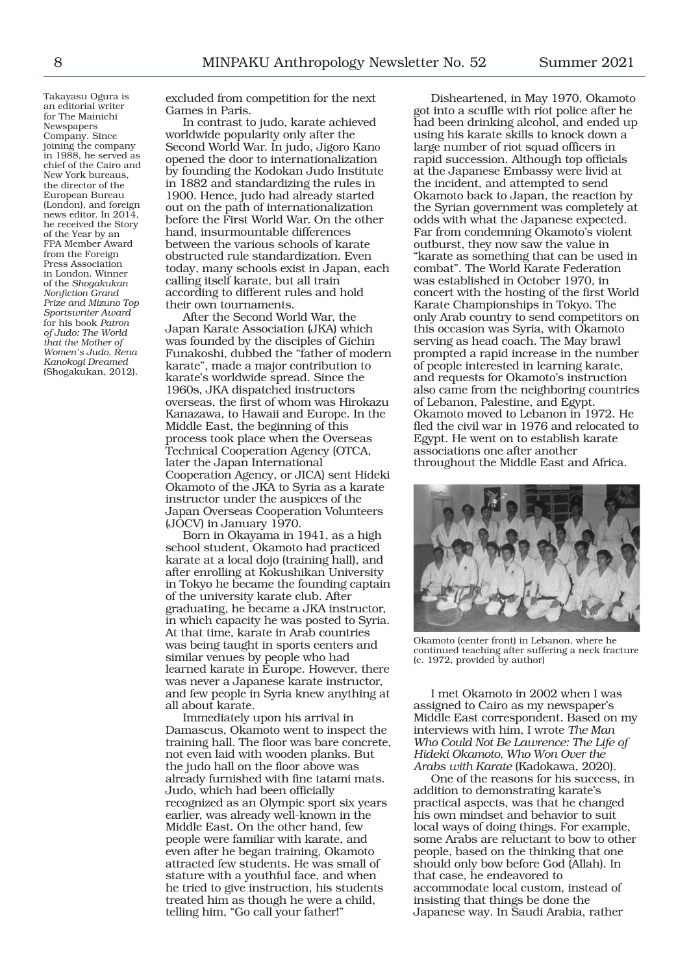Takayasu Ogura is an editorial writer for The Mainichi Newspapers Company. Since joining the company in 1988, he served as chief of the Cairo and New York bureaus, the director of the European Bureau (London), and foreign news editor. In 2014, he received the Story of the Year by an FPA Member Award from the Foreign Press Association in London. Winner of the *Shogakukan Nonfiction Grand Prize and Mizuno Top Sportswriter Award* for his book *Patron of Judo: The World that the Mother of Women's Judo, Rena Kanokogi Dreamed* (Shogakukan, 2012).

excluded from competition for the next Games in Paris.

In contrast to judo, karate achieved worldwide popularity only after the Second World War. In judo, Jigoro Kano opened the door to internationalization by founding the Kodokan Judo Institute in 1882 and standardizing the rules in 1900. Hence, judo had already started out on the path of internationalization before the First World War. On the other hand, insurmountable differences between the various schools of karate obstructed rule standardization. Even today, many schools exist in Japan, each calling itself karate, but all train according to different rules and hold their own tournaments.

After the Second World War, the Japan Karate Association (JKA) which was founded by the disciples of Gichin Funakoshi, dubbed the "father of modern karate", made a major contribution to karate's worldwide spread. Since the 1960s, JKA dispatched instructors overseas, the first of whom was Hirokazu Kanazawa, to Hawaii and Europe. In the Middle East, the beginning of this process took place when the Overseas Technical Cooperation Agency (OTCA, later the Japan International Cooperation Agency, or JICA) sent Hideki Okamoto of the JKA to Syria as a karate instructor under the auspices of the Japan Overseas Cooperation Volunteers (JOCV) in January 1970.

Born in Okayama in 1941, as a high school student, Okamoto had practiced karate at a local dojo (training hall), and after enrolling at Kokushikan University in Tokyo he became the founding captain of the university karate club. After graduating, he became a JKA instructor, in which capacity he was posted to Syria. At that time, karate in Arab countries was being taught in sports centers and similar venues by people who had learned karate in Europe. However, there was never a Japanese karate instructor, and few people in Syria knew anything at all about karate.

Immediately upon his arrival in Damascus, Okamoto went to inspect the training hall. The floor was bare concrete, not even laid with wooden planks. But the judo hall on the floor above was already furnished with fine tatami mats. Judo, which had been officially recognized as an Olympic sport six years earlier, was already well-known in the Middle East. On the other hand, few people were familiar with karate, and even after he began training, Okamoto attracted few students. He was small of stature with a youthful face, and when he tried to give instruction, his students treated him as though he were a child, telling him, "Go call your father!"

Disheartened, in May 1970, Okamoto got into a scuffle with riot police after he had been drinking alcohol, and ended up using his karate skills to knock down a large number of riot squad officers in rapid succession. Although top officials at the Japanese Embassy were livid at the incident, and attempted to send Okamoto back to Japan, the reaction by the Syrian government was completely at odds with what the Japanese expected. Far from condemning Okamoto's violent outburst, they now saw the value in "karate as something that can be used in combat". The World Karate Federation was established in October 1970, in concert with the hosting of the first World Karate Championships in Tokyo. The only Arab country to send competitors on this occasion was Syria, with Okamoto serving as head coach. The May brawl prompted a rapid increase in the number of people interested in learning karate, and requests for Okamoto's instruction also came from the neighboring countries of Lebanon, Palestine, and Egypt. Okamoto moved to Lebanon in 1972. He fled the civil war in 1976 and relocated to Egypt. He went on to establish karate associations one after another throughout the Middle East and Africa.



Okamoto (center front) in Lebanon, where he continued teaching after suffering a neck fracture (c. 1972, provided by author)

I met Okamoto in 2002 when I was assigned to Cairo as my newspaper's Middle East correspondent. Based on my interviews with him, I wrote *The Man Who Could Not Be Lawrence: The Life of Hideki Okamoto, Who Won Over the Arabs with Karate* (Kadokawa, 2020).

One of the reasons for his success, in addition to demonstrating karate's practical aspects, was that he changed his own mindset and behavior to suit local ways of doing things. For example, some Arabs are reluctant to bow to other people, based on the thinking that one should only bow before God (Allah). In that case, he endeavored to accommodate local custom, instead of insisting that things be done the Japanese way. In Saudi Arabia, rather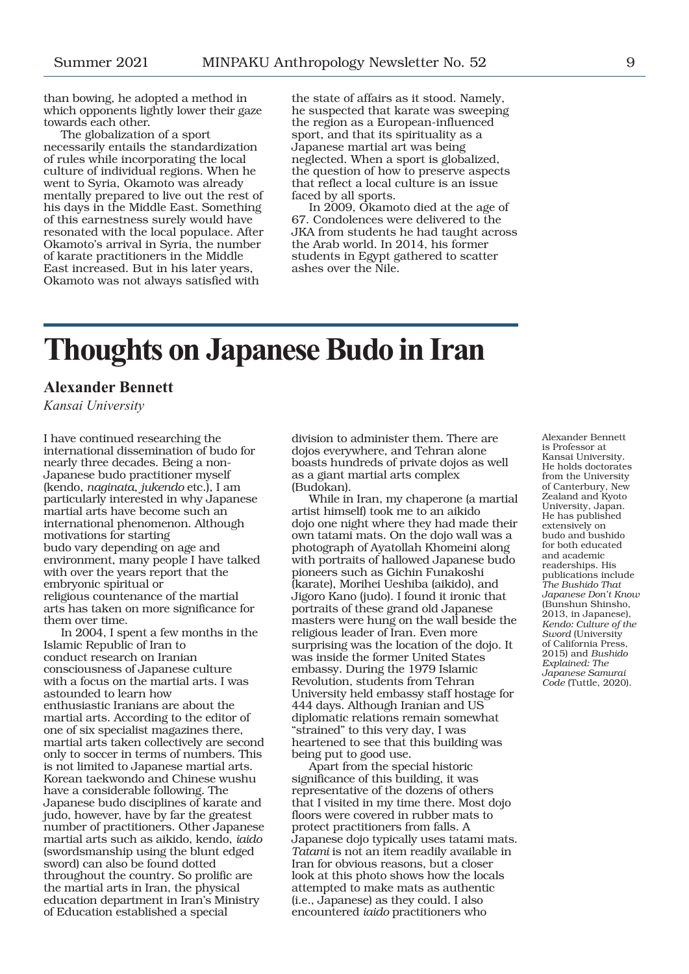than bowing, he adopted a method in which opponents lightly lower their gaze towards each other.

The globalization of a sport necessarily entails the standardization of rules while incorporating the local culture of individual regions. When he went to Syria, Okamoto was already mentally prepared to live out the rest of his days in the Middle East. Something of this earnestness surely would have resonated with the local populace. After Okamoto's arrival in Syria, the number of karate practitioners in the Middle East increased. But in his later years, Okamoto was not always satisfied with

the state of affairs as it stood. Namely, he suspected that karate was sweeping the region as a European-influenced sport, and that its spirituality as a Japanese martial art was being neglected. When a sport is globalized, the question of how to preserve aspects that reflect a local culture is an issue faced by all sports.

In 2009, Okamoto died at the age of 67. Condolences were delivered to the JKA from students he had taught across the Arab world. In 2014, his former students in Egypt gathered to scatter ashes over the Nile.

# **Thoughts on Japanese Budo in Iran**

# **Alexander Bennett**

*Kansai University*

I have continued researching the international dissemination of budo for nearly three decades. Being a non-Japanese budo practitioner myself (kendo, *naginata*, *jukendo* etc.), I am particularly interested in why Japanese martial arts have become such an international phenomenon. Although motivations for starting budo vary depending on age and environment, many people I have talked with over the years report that the embryonic spiritual or religious countenance of the martial arts has taken on more significance for them over time.

In 2004, I spent a few months in the Islamic Republic of Iran to conduct research on Iranian consciousness of Japanese culture with a focus on the martial arts. I was astounded to learn how enthusiastic Iranians are about the martial arts. According to the editor of one of six specialist magazines there, martial arts taken collectively are second only to soccer in terms of numbers. This is not limited to Japanese martial arts. Korean taekwondo and Chinese wushu have a considerable following. The Japanese budo disciplines of karate and judo, however, have by far the greatest number of practitioners. Other Japanese martial arts such as aikido, kendo, *iaido* (swordsmanship using the blunt edged sword) can also be found dotted throughout the country. So prolific are the martial arts in Iran, the physical education department in Iran's Ministry of Education established a special

division to administer them. There are dojos everywhere, and Tehran alone boasts hundreds of private dojos as well as a giant martial arts complex (Budokan).

While in Iran, my chaperone (a martial artist himself) took me to an aikido dojo one night where they had made their own tatami mats. On the dojo wall was a photograph of Ayatollah Khomeini along with portraits of hallowed Japanese budo pioneers such as Gichin Funakoshi (karate), Morihei Ueshiba (aikido), and Jigoro Kano (judo). I found it ironic that portraits of these grand old Japanese masters were hung on the wall beside the religious leader of Iran. Even more surprising was the location of the dojo. It was inside the former United States embassy. During the 1979 Islamic Revolution, students from Tehran University held embassy staff hostage for 444 days. Although Iranian and US diplomatic relations remain somewhat "strained" to this very day, I was heartened to see that this building was being put to good use.

Apart from the special historic significance of this building, it was representative of the dozens of others that I visited in my time there. Most dojo floors were covered in rubber mats to protect practitioners from falls. A Japanese dojo typically uses tatami mats. *Tatami* is not an item readily available in Iran for obvious reasons, but a closer look at this photo shows how the locals attempted to make mats as authentic (i.e., Japanese) as they could. I also encountered *iaido* practitioners who

Alexander Bennett is Professor at Kansai University. He holds doctorates from the University of Canterbury, New Zealand and Kyoto University, Japan. He has published extensively on budo and bushido for both educated and academic readerships. His publications include *The Bushido That Japanese Don't Know* (Bunshun Shinsho, 2013, in Japanese), *Kendo: Culture of the Sword* (University of California Press, 2015) and *Bushido Explained: The Japanese Samurai Code* (Tuttle, 2020).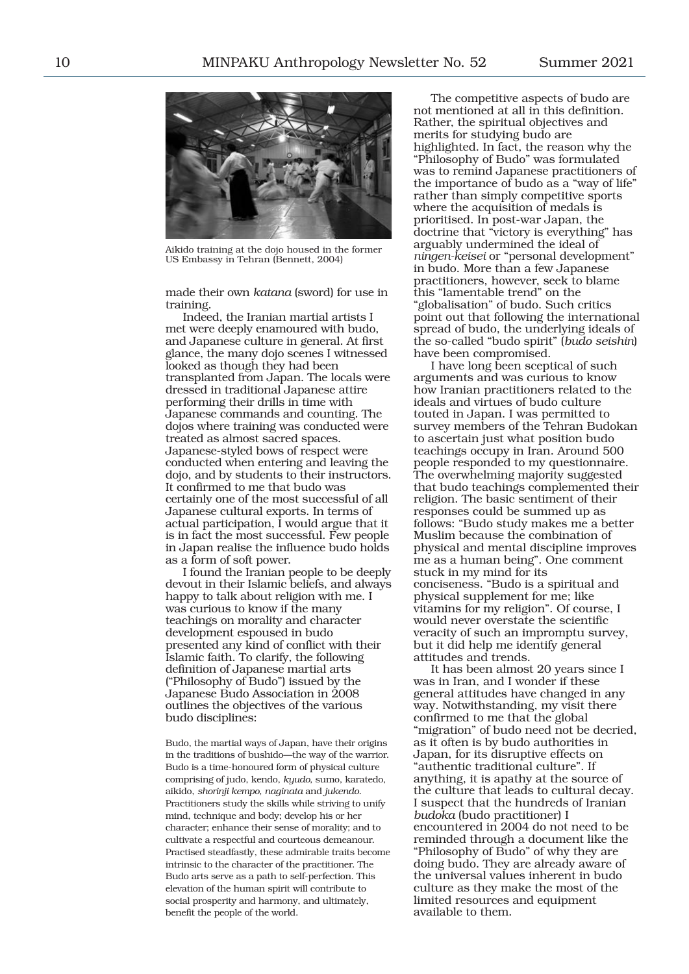

Aikido training at the dojo housed in the former US Embassy in Tehran (Bennett, 2004)

made their own *katana* (sword) for use in training.

Indeed, the Iranian martial artists I met were deeply enamoured with budo, and Japanese culture in general. At first glance, the many dojo scenes I witnessed looked as though they had been transplanted from Japan. The locals were dressed in traditional Japanese attire performing their drills in time with Japanese commands and counting. The dojos where training was conducted were treated as almost sacred spaces. Japanese-styled bows of respect were conducted when entering and leaving the dojo, and by students to their instructors. It confirmed to me that budo was certainly one of the most successful of all Japanese cultural exports. In terms of actual participation, I would argue that it is in fact the most successful. Few people in Japan realise the influence budo holds as a form of soft power.

I found the Iranian people to be deeply devout in their Islamic beliefs, and always happy to talk about religion with me. I was curious to know if the many teachings on morality and character development espoused in budo presented any kind of conflict with their Islamic faith. To clarify, the following definition of Japanese martial arts ("Philosophy of Budo") issued by the Japanese Budo Association in 2008 outlines the objectives of the various budo disciplines:

Budo, the martial ways of Japan, have their origins in the traditions of bushido—the way of the warrior. Budo is a time-honoured form of physical culture comprising of judo, kendo, *kyudo*, sumo, karatedo, aikido, *shorinji kempo*, *naginata* and *jukendo*. Practitioners study the skills while striving to unify mind, technique and body; develop his or her character; enhance their sense of morality; and to cultivate a respectful and courteous demeanour. Practised steadfastly, these admirable traits become intrinsic to the character of the practitioner. The Budo arts serve as a path to self-perfection. This elevation of the human spirit will contribute to social prosperity and harmony, and ultimately, benefit the people of the world.

The competitive aspects of budo are not mentioned at all in this definition. Rather, the spiritual objectives and merits for studying budo are highlighted. In fact, the reason why the "Philosophy of Budo" was formulated was to remind Japanese practitioners of the importance of budo as a "way of life" rather than simply competitive sports where the acquisition of medals is prioritised. In post-war Japan, the doctrine that "victory is everything" has arguably undermined the ideal of *ningen-keisei* or "personal development" in budo. More than a few Japanese practitioners, however, seek to blame this "lamentable trend" on the "globalisation" of budo. Such critics point out that following the international spread of budo, the underlying ideals of the so-called "budo spirit" (*budo seishin*) have been compromised.

I have long been sceptical of such arguments and was curious to know how Iranian practitioners related to the ideals and virtues of budo culture touted in Japan. I was permitted to survey members of the Tehran Budokan to ascertain just what position budo teachings occupy in Iran. Around 500 people responded to my questionnaire. The overwhelming majority suggested that budo teachings complemented their religion. The basic sentiment of their responses could be summed up as follows: "Budo study makes me a better Muslim because the combination of physical and mental discipline improves me as a human being". One comment stuck in my mind for its conciseness. "Budo is a spiritual and physical supplement for me; like vitamins for my religion". Of course, I would never overstate the scientific veracity of such an impromptu survey, but it did help me identify general attitudes and trends.

It has been almost 20 years since I was in Iran, and I wonder if these general attitudes have changed in any way. Notwithstanding, my visit there confirmed to me that the global "migration" of budo need not be decried, as it often is by budo authorities in Japan, for its disruptive effects on "authentic traditional culture". If anything, it is apathy at the source of the culture that leads to cultural decay. I suspect that the hundreds of Iranian *budoka* (budo practitioner) I encountered in 2004 do not need to be reminded through a document like the "Philosophy of Budo" of why they are doing budo. They are already aware of the universal values inherent in budo culture as they make the most of the limited resources and equipment available to them.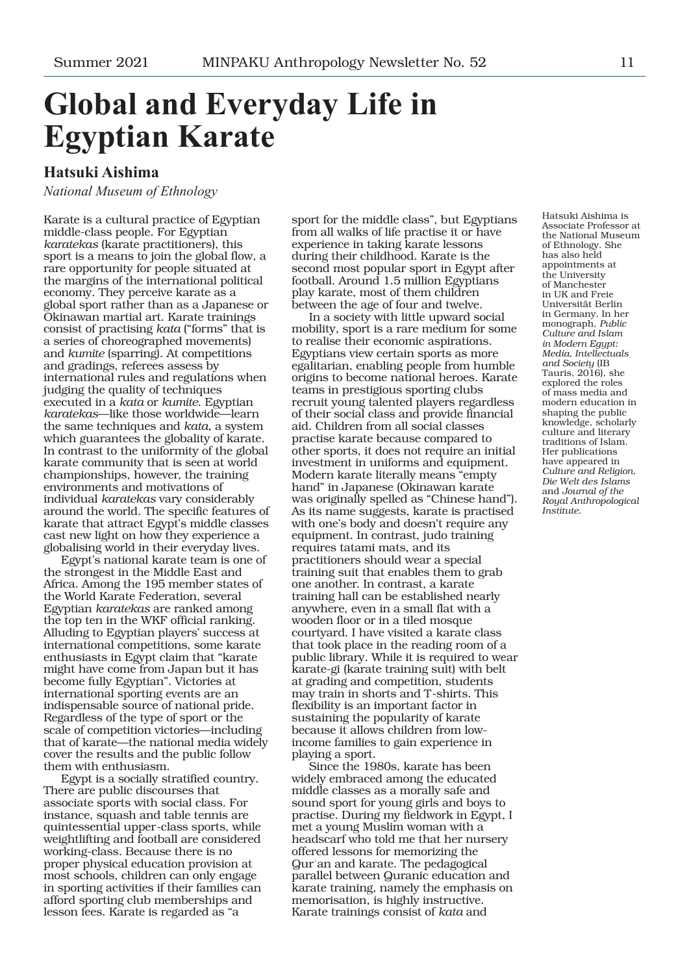# **Global and Everyday Life in Egyptian Karate**

# **Hatsuki Aishima**

*National Museum of Ethnology*

Karate is a cultural practice of Egyptian middle-class people. For Egyptian *karatekas* (karate practitioners), this sport is a means to join the global flow, a rare opportunity for people situated at the margins of the international political economy. They perceive karate as a global sport rather than as a Japanese or Okinawan martial art. Karate trainings consist of practising *kata* ("forms" that is a series of choreographed movements) and *kumite* (sparring). At competitions and gradings, referees assess by international rules and regulations when judging the quality of techniques executed in a *kata* or *kumite*. Egyptian *karatekas*—like those worldwide—learn the same techniques and *kata*, a system which guarantees the globality of karate. In contrast to the uniformity of the global karate community that is seen at world championships, however, the training environments and motivations of individual *karatekas* vary considerably around the world. The specific features of karate that attract Egypt's middle classes cast new light on how they experience a globalising world in their everyday lives.

Egypt's national karate team is one of the strongest in the Middle East and Africa. Among the 195 member states of the World Karate Federation, several Egyptian *karatekas* are ranked among the top ten in the WKF official ranking. Alluding to Egyptian players' success at international competitions, some karate enthusiasts in Egypt claim that "karate might have come from Japan but it has become fully Egyptian". Victories at international sporting events are an indispensable source of national pride. Regardless of the type of sport or the scale of competition victories—including that of karate—the national media widely cover the results and the public follow them with enthusiasm.

Egypt is a socially stratified country. There are public discourses that associate sports with social class. For instance, squash and table tennis are quintessential upper-class sports, while weightlifting and football are considered working-class. Because there is no proper physical education provision at most schools, children can only engage in sporting activities if their families can afford sporting club memberships and lesson fees. Karate is regarded as "a

sport for the middle class", but Egyptians from all walks of life practise it or have experience in taking karate lessons during their childhood. Karate is the second most popular sport in Egypt after football. Around 1.5 million Egyptians play karate, most of them children between the age of four and twelve.

In a society with little upward social mobility, sport is a rare medium for some to realise their economic aspirations. Egyptians view certain sports as more egalitarian, enabling people from humble origins to become national heroes. Karate teams in prestigious sporting clubs recruit young talented players regardless of their social class and provide financial aid. Children from all social classes practise karate because compared to other sports, it does not require an initial investment in uniforms and equipment. Modern karate literally means "empty hand" in Japanese (Okinawan karate was originally spelled as "Chinese hand"). As its name suggests, karate is practised with one's body and doesn't require any equipment. In contrast, judo training requires tatami mats, and its practitioners should wear a special training suit that enables them to grab one another. In contrast, a karate training hall can be established nearly anywhere, even in a small flat with a wooden floor or in a tiled mosque courtyard. I have visited a karate class that took place in the reading room of a public library. While it is required to wear karate-gi (karate training suit) with belt at grading and competition, students may train in shorts and T-shirts. This flexibility is an important factor in sustaining the popularity of karate because it allows children from lowincome families to gain experience in playing a sport.

Since the 1980s, karate has been widely embraced among the educated middle classes as a morally safe and sound sport for young girls and boys to practise. During my fieldwork in Egypt, I met a young Muslim woman with a headscarf who told me that her nursery offered lessons for memorizing the Qurʾan and karate. The pedagogical parallel between Quranic education and karate training, namely the emphasis on memorisation, is highly instructive. Karate trainings consist of *kata* and

Hatsuki Aishima is Associate Professor at the National Museum of Ethnology. She has also held appointments at the University of Manchester in UK and Freie Universität Berlin in Germany. In her monograph, *Public Culture and Islam in Modern Egypt: Media, Intellectuals and Society* (IB Tauris, 2016), she explored the roles of mass media and modern education in shaping the public knowledge, scholarly culture and literary traditions of Islam. Her publications have appeared in *Culture and Religion, Die Welt des Islams*  and *Journal of the Royal Anthropological Institute*.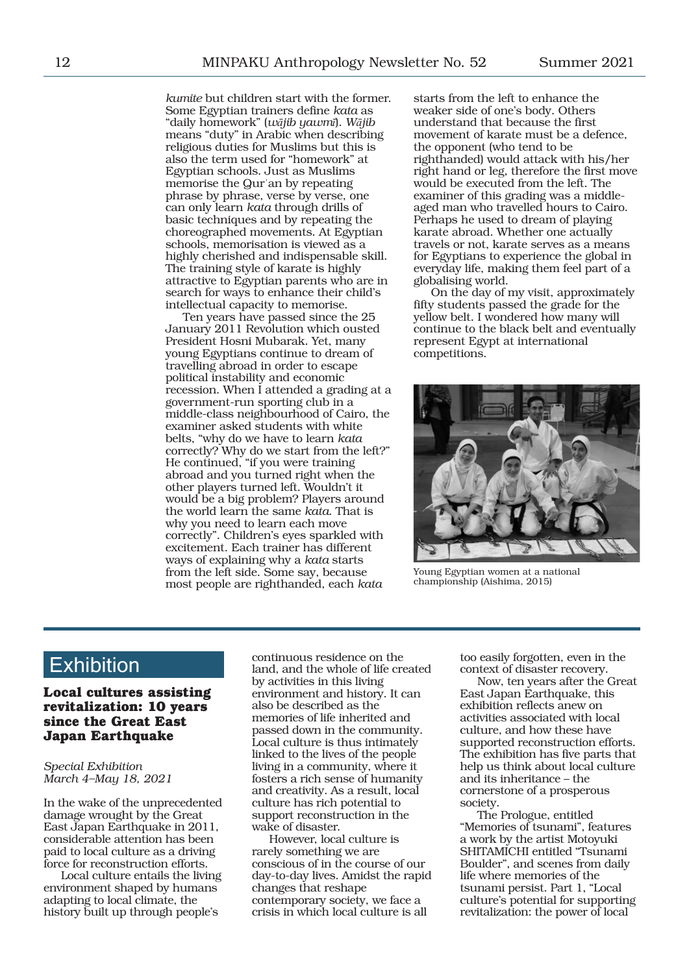*kumite* but children start with the former. Some Egyptian trainers define *kata* as "daily homework" (*wājib yawmī*). *Wājib* means "duty" in Arabic when describing religious duties for Muslims but this is also the term used for "homework" at Egyptian schools. Just as Muslims memorise the Qurʾan by repeating phrase by phrase, verse by verse, one can only learn *kata* through drills of basic techniques and by repeating the choreographed movements. At Egyptian schools, memorisation is viewed as a highly cherished and indispensable skill. The training style of karate is highly attractive to Egyptian parents who are in search for ways to enhance their child's intellectual capacity to memorise.

Ten years have passed since the 25 January 2011 Revolution which ousted President Hosni Mubarak. Yet, many young Egyptians continue to dream of travelling abroad in order to escape political instability and economic recession. When I attended a grading at a government-run sporting club in a middle-class neighbourhood of Cairo, the examiner asked students with white belts, "why do we have to learn *kata* correctly? Why do we start from the left?" He continued, "if you were training abroad and you turned right when the other players turned left. Wouldn't it would be a big problem? Players around the world learn the same *kata*. That is why you need to learn each move correctly". Children's eyes sparkled with excitement. Each trainer has different ways of explaining why a *kata* starts from the left side. Some say, because most people are righthanded, each *kata*

starts from the left to enhance the weaker side of one's body. Others understand that because the first movement of karate must be a defence, the opponent (who tend to be righthanded) would attack with his/her right hand or leg, therefore the first move would be executed from the left. The examiner of this grading was a middleaged man who travelled hours to Cairo. Perhaps he used to dream of playing karate abroad. Whether one actually travels or not, karate serves as a means for Egyptians to experience the global in everyday life, making them feel part of a globalising world.

On the day of my visit, approximately fifty students passed the grade for the yellow belt. I wondered how many will continue to the black belt and eventually represent Egypt at international competitions.



Young Egyptian women at a national championship (Aishima, 2015)

# **Exhibition**

**Local cultures assisting revitalization: 10 years since the Great East Japan Earthquake**

### *Special Exhibition March 4–May 18, 2021*

In the wake of the unprecedented damage wrought by the Great East Japan Earthquake in 2011, considerable attention has been paid to local culture as a driving force for reconstruction efforts.

Local culture entails the living environment shaped by humans adapting to local climate, the history built up through people's

continuous residence on the land, and the whole of life created by activities in this living environment and history. It can also be described as the memories of life inherited and passed down in the community. Local culture is thus intimately linked to the lives of the people living in a community, where it fosters a rich sense of humanity and creativity. As a result, local culture has rich potential to support reconstruction in the wake of disaster.

However, local culture is rarely something we are conscious of in the course of our day-to-day lives. Amidst the rapid changes that reshape contemporary society, we face a crisis in which local culture is all

too easily forgotten, even in the context of disaster recovery.

Now, ten years after the Great East Japan Earthquake, this exhibition reflects anew on activities associated with local culture, and how these have supported reconstruction efforts. The exhibition has five parts that help us think about local culture and its inheritance – the cornerstone of a prosperous society.

The Prologue, entitled "Memories of tsunami", features a work by the artist Motoyuki SHITAMICHI entitled "Tsunami Boulder", and scenes from daily life where memories of the tsunami persist. Part 1, "Local culture's potential for supporting revitalization: the power of local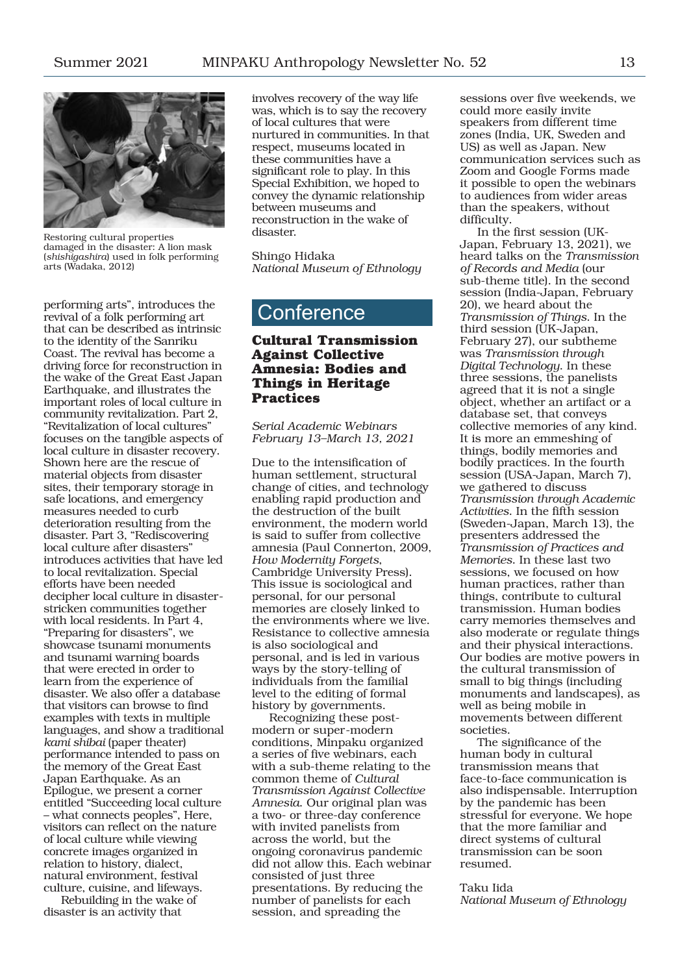

Restoring cultural properties damaged in the disaster: A lion mask (*shishigashira*) used in folk performing arts (Wadaka, 2012)

performing arts", introduces the revival of a folk performing art that can be described as intrinsic to the identity of the Sanriku Coast. The revival has become a driving force for reconstruction in the wake of the Great East Japan Earthquake, and illustrates the important roles of local culture in community revitalization. Part 2, "Revitalization of local cultures" focuses on the tangible aspects of local culture in disaster recovery. Shown here are the rescue of material objects from disaster sites, their temporary storage in safe locations, and emergency measures needed to curb deterioration resulting from the disaster. Part 3, "Rediscovering local culture after disasters" introduces activities that have led to local revitalization. Special efforts have been needed decipher local culture in disasterstricken communities together with local residents. In Part 4, "Preparing for disasters", we showcase tsunami monuments and tsunami warning boards that were erected in order to learn from the experience of disaster. We also offer a database that visitors can browse to find examples with texts in multiple languages, and show a traditional *kami shibai* (paper theater) performance intended to pass on the memory of the Great East Japan Earthquake. As an Epilogue, we present a corner entitled "Succeeding local culture – what connects peoples", Here, visitors can reflect on the nature of local culture while viewing concrete images organized in relation to history, dialect, natural environment, festival culture, cuisine, and lifeways.

Rebuilding in the wake of disaster is an activity that

involves recovery of the way life was, which is to say the recovery of local cultures that were nurtured in communities. In that respect, museums located in these communities have a significant role to play. In this Special Exhibition, we hoped to convey the dynamic relationship between museums and reconstruction in the wake of disaster.

Shingo Hidaka *National Museum of Ethnology*

# **Conference**

# **Cultural Transmission Against Collective Amnesia: Bodies and Things in Heritage Practices**

*Serial Academic Webinars February 13–March 13, 2021*

Due to the intensification of human settlement, structural change of cities, and technology enabling rapid production and the destruction of the built environment, the modern world is said to suffer from collective amnesia (Paul Connerton, 2009, *How Modernity Forgets*, Cambridge University Press). This issue is sociological and personal, for our personal memories are closely linked to the environments where we live. Resistance to collective amnesia is also sociological and personal, and is led in various ways by the story-telling of individuals from the familial level to the editing of formal history by governments.

Recognizing these postmodern or super-modern conditions, Minpaku organized a series of five webinars, each with a sub-theme relating to the common theme of *Cultural Transmission Against Collective Amnesia*. Our original plan was a two- or three-day conference with invited panelists from across the world, but the ongoing coronavirus pandemic did not allow this. Each webinar consisted of just three presentations. By reducing the number of panelists for each session, and spreading the

sessions over five weekends, we could more easily invite speakers from different time zones (India, UK, Sweden and US) as well as Japan. New communication services such as Zoom and Google Forms made it possible to open the webinars to audiences from wider areas than the speakers, without difficulty.

In the first session (UK-Japan, February 13, 2021), we heard talks on the *Transmission of Records and Media* (our sub-theme title). In the second session (India-Japan, February 20), we heard about the *Transmission of Things*. In the third session (UK-Japan, February 27), our subtheme was *Transmission through Digital Technology*. In these three sessions, the panelists agreed that it is not a single object, whether an artifact or a database set, that conveys collective memories of any kind. It is more an emmeshing of things, bodily memories and bodily practices. In the fourth session (USA-Japan, March 7), we gathered to discuss *Transmission through Academic Activities*. In the fifth session (Sweden-Japan, March 13), the presenters addressed the *Transmission of Practices and Memories*. In these last two sessions, we focused on how human practices, rather than things, contribute to cultural transmission. Human bodies carry memories themselves and also moderate or regulate things and their physical interactions. Our bodies are motive powers in the cultural transmission of small to big things (including monuments and landscapes), as well as being mobile in movements between different societies.

The significance of the human body in cultural transmission means that face-to-face communication is also indispensable. Interruption by the pandemic has been stressful for everyone. We hope that the more familiar and direct systems of cultural transmission can be soon resumed.

#### Taku Iida

*National Museum of Ethnology*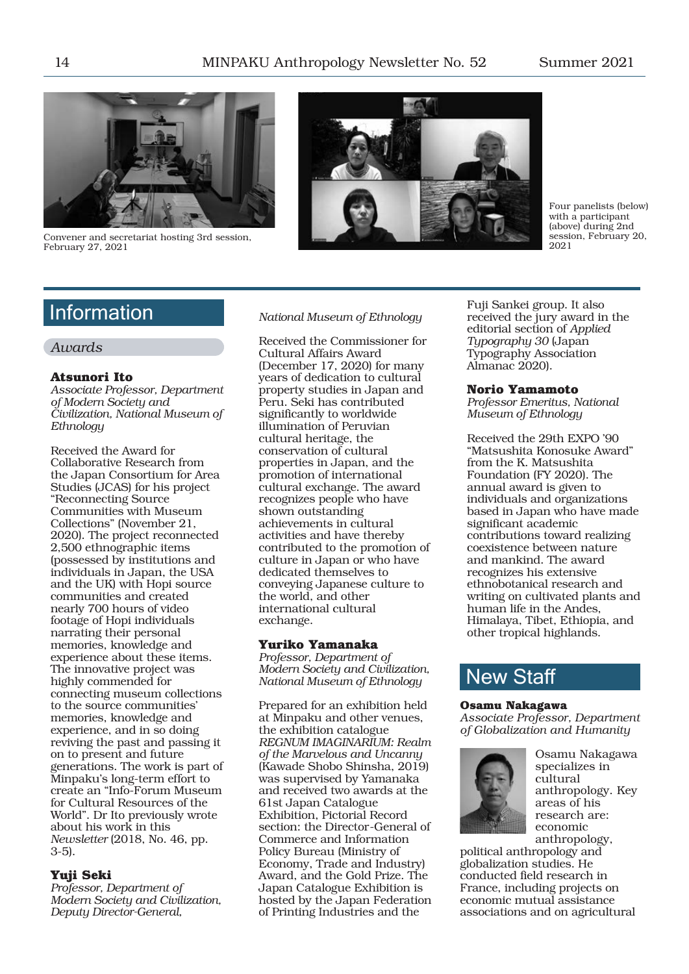

Convener and secretariat hosting 3rd session, February 27, 2021



Four panelists (below) with a participant (above) during 2nd session, February 20, 2021

# **Information**

# *Awards*

## **Atsunori Ito**

*Associate Professor, Department of Modern Society and Civilization, National Museum of Ethnology*

Received the Award for Collaborative Research from the Japan Consortium for Area Studies (JCAS) for his project "Reconnecting Source Communities with Museum Collections" (November 21, 2020). The project reconnected 2,500 ethnographic items (possessed by institutions and individuals in Japan, the USA and the UK) with Hopi source communities and created nearly 700 hours of video footage of Hopi individuals narrating their personal memories, knowledge and experience about these items. The innovative project was highly commended for connecting museum collections to the source communities' memories, knowledge and experience, and in so doing reviving the past and passing it on to present and future generations. The work is part of Minpaku's long-term effort to create an "Info-Forum Museum for Cultural Resources of the World". Dr Ito previously wrote about his work in this *Newsletter* (2018, No. 46, pp. 3-5).

## **Yuji Seki**

*Professor, Department of Modern Society and Civilization, Deputy Director-General,* 

### *National Museum of Ethnology*

Received the Commissioner for Cultural Affairs Award (December 17, 2020) for many years of dedication to cultural property studies in Japan and Peru. Seki has contributed significantly to worldwide illumination of Peruvian cultural heritage, the conservation of cultural properties in Japan, and the promotion of international cultural exchange. The award recognizes people who have shown outstanding achievements in cultural activities and have thereby contributed to the promotion of culture in Japan or who have dedicated themselves to conveying Japanese culture to the world, and other international cultural exchange.

## **Yuriko Yamanaka**

*Professor, Department of Modern Society and Civilization, National Museum of Ethnology*

Prepared for an exhibition held at Minpaku and other venues, the exhibition catalogue *REGNUM IMAGINARIUM: Realm of the Marvelous and Uncanny* (Kawade Shobo Shinsha, 2019) was supervised by Yamanaka and received two awards at the 61st Japan Catalogue Exhibition, Pictorial Record section: the Director-General of Commerce and Information Policy Bureau (Ministry of Economy, Trade and Industry) Award, and the Gold Prize. The Japan Catalogue Exhibition is hosted by the Japan Federation of Printing Industries and the

Fuji Sankei group. It also received the jury award in the editorial section of *Applied Typography 30* (Japan Typography Association Almanac 2020).

## **Norio Yamamoto**

*Professor Emeritus, National Museum of Ethnology*

Received the 29th EXPO '90 "Matsushita Konosuke Award" from the K. Matsushita Foundation (FY 2020). The annual award is given to individuals and organizations based in Japan who have made significant academic contributions toward realizing coexistence between nature and mankind. The award recognizes his extensive ethnobotanical research and writing on cultivated plants and human life in the Andes, Himalaya, Tibet, Ethiopia, and other tropical highlands.

# New Staff

#### **Osamu Nakagawa**

*Associate Professor, Department of Globalization and Humanity*



Osamu Nakagawa specializes in cultural anthropology. Key areas of his research are: economic anthropology,

political anthropology and globalization studies. He conducted field research in France, including projects on economic mutual assistance associations and on agricultural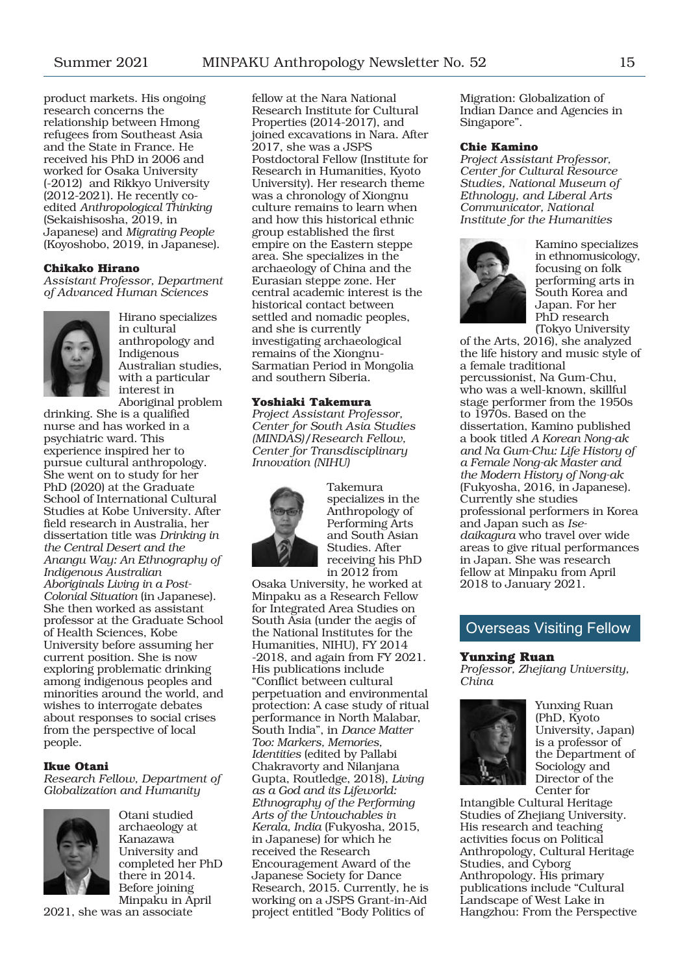product markets. His ongoing research concerns the relationship between Hmong refugees from Southeast Asia and the State in France. He received his PhD in 2006 and worked for Osaka University (-2012) and Rikkyo University (2012-2021). He recently coedited *Anthropological Thinking* (Sekaishisosha, 2019, in Japanese) and *Migrating People* (Koyoshobo, 2019, in Japanese).

#### **Chikako Hirano**

*Assistant Professor, Department of Advanced Human Sciences*



Hirano specializes in cultural anthropology and Indigenous Australian studies, with a particular interest in Aboriginal problem

drinking. She is a qualified nurse and has worked in a psychiatric ward. This experience inspired her to pursue cultural anthropology. She went on to study for her PhD (2020) at the Graduate School of International Cultural Studies at Kobe University. After field research in Australia, her dissertation title was *Drinking in the Central Desert and the Anangu Way: An Ethnography of Indigenous Australian Aboriginals Living in a Post-Colonial Situation* (in Japanese). She then worked as assistant professor at the Graduate School of Health Sciences, Kobe University before assuming her current position. She is now exploring problematic drinking among indigenous peoples and minorities around the world, and wishes to interrogate debates about responses to social crises from the perspective of local people.

### **Ikue Otani**

*Research Fellow, Department of Globalization and Humanity*



Otani studied archaeology at Kanazawa University and completed her PhD there in 2014. Before joining Minpaku in April

2021, she was an associate

fellow at the Nara National Research Institute for Cultural Properties (2014-2017), and joined excavations in Nara. After 2017, she was a JSPS Postdoctoral Fellow (Institute for Research in Humanities, Kyoto University). Her research theme was a chronology of Xiongnu culture remains to learn when and how this historical ethnic group established the first empire on the Eastern steppe area. She specializes in the archaeology of China and the Eurasian steppe zone. Her central academic interest is the historical contact between settled and nomadic peoples, and she is currently investigating archaeological remains of the Xiongnu-Sarmatian Period in Mongolia and southern Siberia.

#### **Yoshiaki Takemura**

*Project Assistant Professor, Center for South Asia Studies (MINDAS)/Research Fellow, Center for Transdisciplinary Innovation (NIHU)*



Takemura specializes in the Anthropology of Performing Arts and South Asian Studies. After receiving his PhD in 2012 from

Osaka University, he worked at Minpaku as a Research Fellow for Integrated Area Studies on South Asia (under the aegis of the National Institutes for the Humanities, NIHU), FY 2014 -2018, and again from FY 2021. His publications include "Conflict between cultural perpetuation and environmental protection: A case study of ritual performance in North Malabar, South India", in *Dance Matter Too: Markers, Memories, Identities* (edited by Pallabi Chakravorty and Nilanjana Gupta, Routledge, 2018), *Living as a God and its Lifeworld: Ethnography of the Performing Arts of the Untouchables in Kerala, India* (Fukyosha, 2015, in Japanese) for which he received the Research Encouragement Award of the Japanese Society for Dance Research, 2015. Currently, he is working on a JSPS Grant-in-Aid project entitled "Body Politics of

Migration: Globalization of Indian Dance and Agencies in Singapore".

#### **Chie Kamino**

*Project Assistant Professor, Center for Cultural Resource Studies, National Museum of Ethnology, and Liberal Arts Communicator, National Institute for the Humanities*



Kamino specializes in ethnomusicology, focusing on folk performing arts in South Korea and Japan. For her PhD research (Tokyo University

of the Arts, 2016), she analyzed the life history and music style of a female traditional percussionist, Na Gum-Chu, who was a well-known, skillful stage performer from the 1950s to 1970s. Based on the dissertation, Kamino published a book titled *A Korean Nong-ak and Na Gum-Chu: Life History of a Female Nong-ak Master and the Modern History of Nong-ak* (Fukyosha, 2016, in Japanese). Currently she studies professional performers in Korea and Japan such as *Isedaikagura* who travel over wide areas to give ritual performances in Japan. She was research fellow at Minpaku from April 2018 to January 2021.

# Overseas Visiting Fellow

#### **Yunxing Ruan**

*Professor, Zhejiang University, China*



Yunxing Ruan (PhD, Kyoto University, Japan) is a professor of the Department of Sociology and Director of the Center for

Intangible Cultural Heritage Studies of Zhejiang University. His research and teaching activities focus on Political Anthropology, Cultural Heritage Studies, and Cyborg Anthropology. His primary publications include "Cultural Landscape of West Lake in Hangzhou: From the Perspective